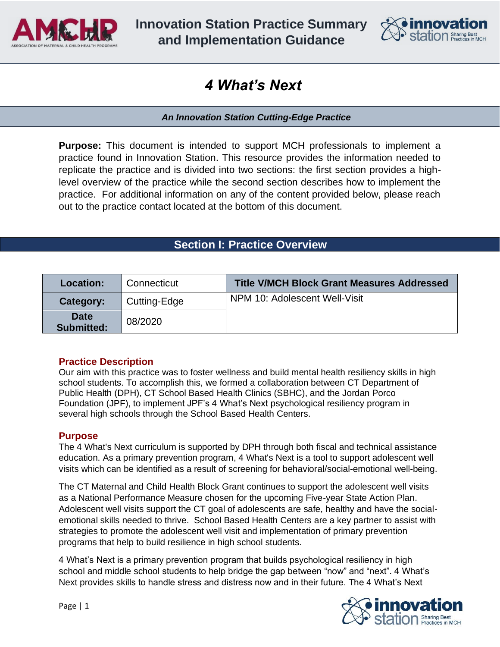

**Innovation Station Practice Summary and Implementation Guidance**



# *4 What's Next*

*An Innovation Station Cutting-Edge Practice* 

**Purpose:** This document is intended to support MCH professionals to implement a practice found in Innovation Station. This resource provides the information needed to replicate the practice and is divided into two sections: the first section provides a highlevel overview of the practice while the second section describes how to implement the practice. For additional information on any of the content provided below, please reach out to the practice contact located at the bottom of this document.

# **Section I: Practice Overview**

| Location:                        | Connecticut  | <b>Title V/MCH Block Grant Measures Addressed</b> |
|----------------------------------|--------------|---------------------------------------------------|
| Category:                        | Cutting-Edge | NPM 10: Adolescent Well-Visit                     |
| <b>Date</b><br><b>Submitted:</b> | 08/2020      |                                                   |

#### **Practice Description**

Our aim with this practice was to foster wellness and build mental health resiliency skills in high school students. To accomplish this, we formed a collaboration between CT Department of Public Health (DPH), CT School Based Health Clinics (SBHC), and the Jordan Porco Foundation (JPF), to implement JPF's 4 What's Next psychological resiliency program in several high schools through the School Based Health Centers.

#### **Purpose**

The 4 What's Next curriculum is supported by DPH through both fiscal and technical assistance education. As a primary prevention program, 4 What's Next is a tool to support adolescent well visits which can be identified as a result of screening for behavioral/social-emotional well-being.

The CT Maternal and Child Health Block Grant continues to support the adolescent well visits as a National Performance Measure chosen for the upcoming Five-year State Action Plan. Adolescent well visits support the CT goal of adolescents are safe, healthy and have the socialemotional skills needed to thrive. School Based Health Centers are a key partner to assist with strategies to promote the adolescent well visit and implementation of primary prevention programs that help to build resilience in high school students.

4 What's Next is a primary prevention program that builds psychological resiliency in high school and middle school students to help bridge the gap between "now" and "next". 4 What's Next provides skills to handle stress and distress now and in their future. The 4 What's Next

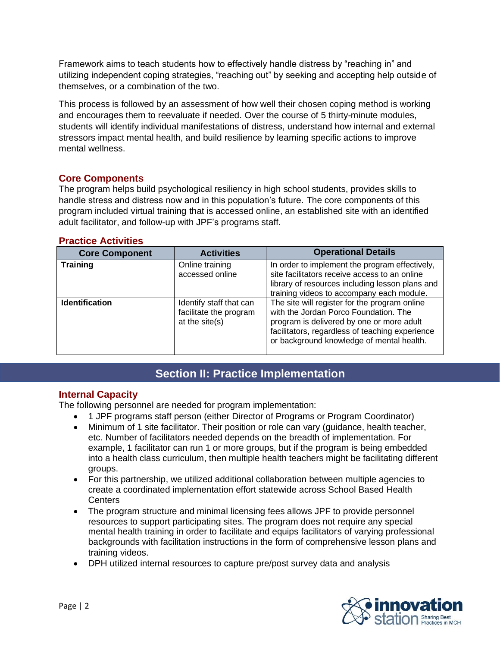Framework aims to teach students how to effectively handle distress by "reaching in" and utilizing independent coping strategies, "reaching out" by seeking and accepting help outside of themselves, or a combination of the two.

This process is followed by an assessment of how well their chosen coping method is working and encourages them to reevaluate if needed. Over the course of 5 thirty-minute modules, students will identify individual manifestations of distress, understand how internal and external stressors impact mental health, and build resilience by learning specific actions to improve mental wellness.

#### **Core Components**

The program helps build psychological resiliency in high school students, provides skills to handle stress and distress now and in this population's future. The core components of this program included virtual training that is accessed online, an established site with an identified adult facilitator, and follow-up with JPF's programs staff.

#### **Practice Activities**

| <b>Core Component</b> | <b>Activities</b>                                                   | <b>Operational Details</b>                                                                                                                                                                                                          |
|-----------------------|---------------------------------------------------------------------|-------------------------------------------------------------------------------------------------------------------------------------------------------------------------------------------------------------------------------------|
| <b>Training</b>       | Online training<br>accessed online                                  | In order to implement the program effectively,<br>site facilitators receive access to an online<br>library of resources including lesson plans and<br>training videos to accompany each module.                                     |
| <b>Identification</b> | Identify staff that can<br>facilitate the program<br>at the site(s) | The site will register for the program online<br>with the Jordan Porco Foundation. The<br>program is delivered by one or more adult<br>facilitators, regardless of teaching experience<br>or background knowledge of mental health. |

#### **Section II: Practice Implementation Section II: Practice Implementation**

# **Internal Capacity**

The following personnel are needed for program implementation:

- 1 JPF programs staff person (either Director of Programs or Program Coordinator)
- Minimum of 1 site facilitator. Their position or role can vary (quidance, health teacher, etc. Number of facilitators needed depends on the breadth of implementation. For example, 1 facilitator can run 1 or more groups, but if the program is being embedded into a health class curriculum, then multiple health teachers might be facilitating different groups.
- For this partnership, we utilized additional collaboration between multiple agencies to create a coordinated implementation effort statewide across School Based Health **Centers**
- The program structure and minimal licensing fees allows JPF to provide personnel resources to support participating sites. The program does not require any special mental health training in order to facilitate and equips facilitators of varying professional backgrounds with facilitation instructions in the form of comprehensive lesson plans and training videos.
- DPH utilized internal resources to capture pre/post survey data and analysis

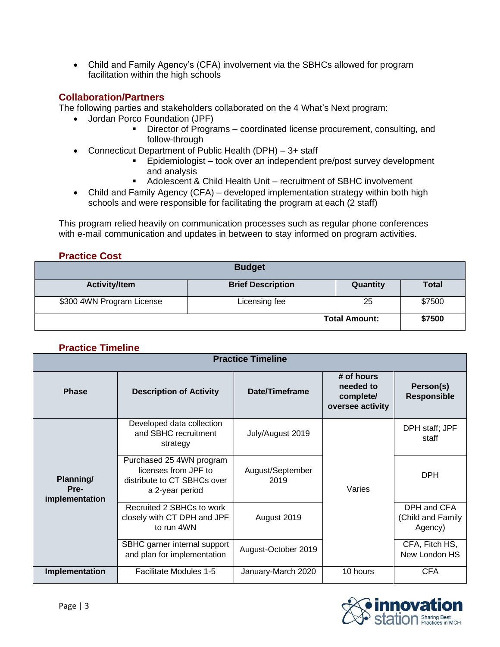• Child and Family Agency's (CFA) involvement via the SBHCs allowed for program facilitation within the high schools

#### **Collaboration/Partners**

The following parties and stakeholders collaborated on the 4 What's Next program:

- Jordan Porco Foundation (JPF)
	- Director of Programs coordinated license procurement, consulting, and follow-through
- Connecticut Department of Public Health (DPH) 3+ staff
	- Epidemiologist took over an independent pre/post survey development and analysis
	- Adolescent & Child Health Unit recruitment of SBHC involvement
- Child and Family Agency (CFA) developed implementation strategy within both high schools and were responsible for facilitating the program at each (2 staff)

This program relied heavily on communication processes such as regular phone conferences with e-mail communication and updates in between to stay informed on program activities.

# **Practice Cost**

| <b>Budget</b>             |                          |          |              |
|---------------------------|--------------------------|----------|--------------|
| <b>Activity/Item</b>      | <b>Brief Description</b> | Quantity | <b>Total</b> |
| \$300 4WN Program License | Licensing fee            | 25       | \$7500       |
| <b>Total Amount:</b>      |                          |          | \$7500       |

# **Practice Timeline**

| <b>Practice Timeline</b>            |                                                                                                    |                          |                                                          |                                             |
|-------------------------------------|----------------------------------------------------------------------------------------------------|--------------------------|----------------------------------------------------------|---------------------------------------------|
| <b>Phase</b>                        | <b>Description of Activity</b>                                                                     | Date/Timeframe           | # of hours<br>needed to<br>complete/<br>oversee activity | Person(s)<br><b>Responsible</b>             |
| Planning/<br>Pre-<br>implementation | Developed data collection<br>and SBHC recruitment<br>strategy                                      | July/August 2019         | Varies                                                   | DPH staff; JPF<br>staff                     |
|                                     | Purchased 25 4WN program<br>licenses from JPF to<br>distribute to CT SBHCs over<br>a 2-year period | August/September<br>2019 |                                                          | <b>DPH</b>                                  |
|                                     | Recruited 2 SBHCs to work<br>closely with CT DPH and JPF<br>to run 4WN                             | August 2019              |                                                          | DPH and CFA<br>(Child and Family<br>Agency) |
|                                     | SBHC garner internal support<br>and plan for implementation                                        | August-October 2019      |                                                          | CFA, Fitch HS,<br>New London HS             |
| Implementation                      | <b>Facilitate Modules 1-5</b>                                                                      | January-March 2020       | 10 hours                                                 | <b>CFA</b>                                  |